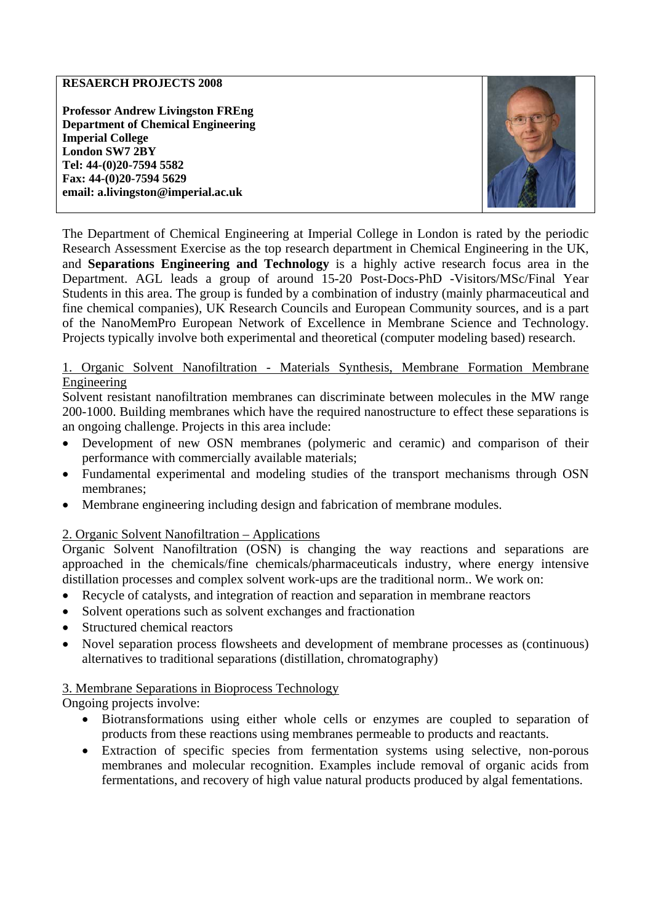### **RESAERCH PROJECTS 2008**

**Professor Andrew Livingston FREng Department of Chemical Engineering Imperial College London SW7 2BY Tel: 44-(0)20-7594 5582 Fax: 44-(0)20-7594 5629 email: a.livingston@imperial.ac.uk** 



The Department of Chemical Engineering at Imperial College in London is rated by the periodic Research Assessment Exercise as the top research department in Chemical Engineering in the UK, and **Separations Engineering and Technology** is a highly active research focus area in the Department. AGL leads a group of around 15-20 Post-Docs-PhD -Visitors/MSc/Final Year Students in this area. The group is funded by a combination of industry (mainly pharmaceutical and fine chemical companies), UK Research Councils and European Community sources, and is a part of the NanoMemPro European Network of Excellence in Membrane Science and Technology. Projects typically involve both experimental and theoretical (computer modeling based) research.

## 1. Organic Solvent Nanofiltration - Materials Synthesis, Membrane Formation Membrane Engineering

Solvent resistant nanofiltration membranes can discriminate between molecules in the MW range 200-1000. Building membranes which have the required nanostructure to effect these separations is an ongoing challenge. Projects in this area include:

- Development of new OSN membranes (polymeric and ceramic) and comparison of their performance with commercially available materials;
- Fundamental experimental and modeling studies of the transport mechanisms through OSN membranes;
- Membrane engineering including design and fabrication of membrane modules.

# 2. Organic Solvent Nanofiltration – Applications

Organic Solvent Nanofiltration (OSN) is changing the way reactions and separations are approached in the chemicals/fine chemicals/pharmaceuticals industry, where energy intensive distillation processes and complex solvent work-ups are the traditional norm.. We work on:

- Recycle of catalysts, and integration of reaction and separation in membrane reactors
- Solvent operations such as solvent exchanges and fractionation
- Structured chemical reactors
- Novel separation process flowsheets and development of membrane processes as (continuous) alternatives to traditional separations (distillation, chromatography)

### 3. Membrane Separations in Bioprocess Technology

Ongoing projects involve:

- Biotransformations using either whole cells or enzymes are coupled to separation of products from these reactions using membranes permeable to products and reactants.
- Extraction of specific species from fermentation systems using selective, non-porous membranes and molecular recognition. Examples include removal of organic acids from fermentations, and recovery of high value natural products produced by algal fementations.